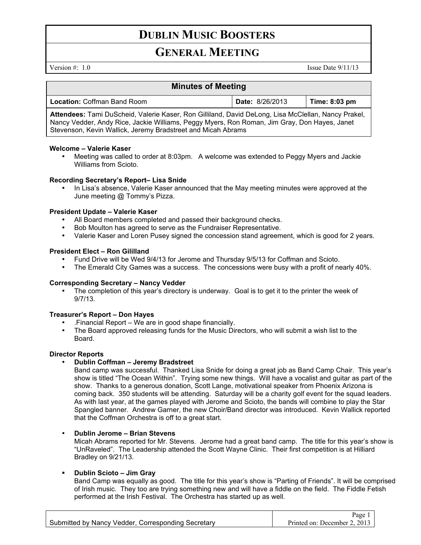### **DUBLIN MUSIC BOOSTERS**

### **GENERAL MEETING**

Version  $\#$ : 1.0 Issue Date 9/11/13

| <b>Minutes of Meeting</b>                                                                                                                                                                                                                                           |                        |               |  |
|---------------------------------------------------------------------------------------------------------------------------------------------------------------------------------------------------------------------------------------------------------------------|------------------------|---------------|--|
| <b>Location: Coffman Band Room</b>                                                                                                                                                                                                                                  | <b>Date: 8/26/2013</b> | Time: 8:03 pm |  |
| Attendees: Tami DuScheid, Valerie Kaser, Ron Gilliland, David DeLong, Lisa McClellan, Nancy Prakel,<br>Nancy Vedder, Andy Rice, Jackie Williams, Peggy Myers, Ron Roman, Jim Gray, Don Hayes, Janet<br>Stevenson, Kevin Wallick, Jeremy Bradstreet and Micah Abrams |                        |               |  |

#### **Welcome – Valerie Kaser**

• Meeting was called to order at 8:03pm. A welcome was extended to Peggy Myers and Jackie Williams from Scioto.

#### **Recording Secretary's Report– Lisa Snide**

• In Lisa's absence, Valerie Kaser announced that the May meeting minutes were approved at the June meeting @ Tommy's Pizza.

#### **President Update – Valerie Kaser**

- All Board members completed and passed their background checks.
- Bob Moulton has agreed to serve as the Fundraiser Representative.
- Valerie Kaser and Loren Pusey signed the concession stand agreement, which is good for 2 years.

#### **President Elect – Ron Gililland**

- Fund Drive will be Wed 9/4/13 for Jerome and Thursday 9/5/13 for Coffman and Scioto.
- The Emerald City Games was a success. The concessions were busy with a profit of nearly 40%.

#### **Corresponding Secretary – Nancy Vedder**

The completion of this year's directory is underway. Goal is to get it to the printer the week of 9/7/13.

#### **Treasurer's Report – Don Hayes**

- .Financial Report We are in good shape financially.
- The Board approved releasing funds for the Music Directors, who will submit a wish list to the Board.

#### **Director Reports**

• **Dublin Coffman – Jeremy Bradstreet**

Band camp was successful. Thanked Lisa Snide for doing a great job as Band Camp Chair. This year's show is titled "The Ocean Within". Trying some new things. Will have a vocalist and guitar as part of the show. Thanks to a generous donation, Scott Lange, motivational speaker from Phoenix Arizona is coming back. 350 students will be attending. Saturday will be a charity golf event for the squad leaders. As with last year, at the games played with Jerome and Scioto, the bands will combine to play the Star Spangled banner. Andrew Garner, the new Choir/Band director was introduced. Kevin Wallick reported that the Coffman Orchestra is off to a great start.

#### • **Dublin Jerome – Brian Stevens**

Micah Abrams reported for Mr. Stevens. Jerome had a great band camp. The title for this year's show is "UnRaveled". The Leadership attended the Scott Wayne Clinic. Their first competition is at Hilliard Bradley on 9/21/13.

#### **Dublin Scioto – Jim Gray**

Band Camp was equally as good. The title for this year's show is "Parting of Friends". It will be comprised of Irish music. They too are trying something new and will have a fiddle on the field. The Fiddle Fetish performed at the Irish Festival. The Orchestra has started up as well.

|                                                    | Page $1 \mid$                |
|----------------------------------------------------|------------------------------|
| Submitted by Nancy Vedder, Corresponding Secretary | Printed on: December 2, 2013 |